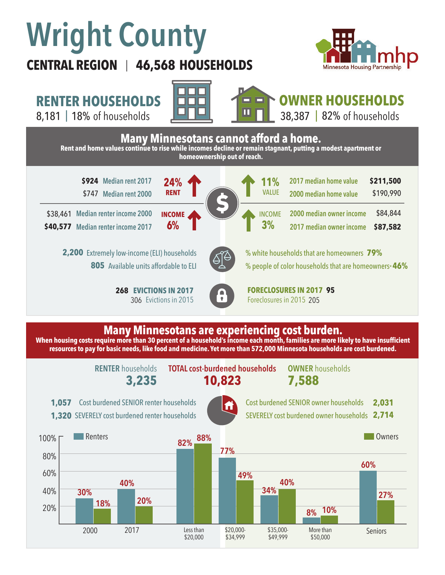# **Wright County**

**CENTRAL REGION 46,568 HOUSEHOLDS**  |



**RENTER HOUSEHOLDS**







**Many Minnesotans are experiencing cost burden. When housing costs require more than 30 percent of a household's income each month, families are more likely to have insufficient resources to pay for basic needs, like food and medicine. Yet more than 572,000 Minnesota households are cost burdened.**